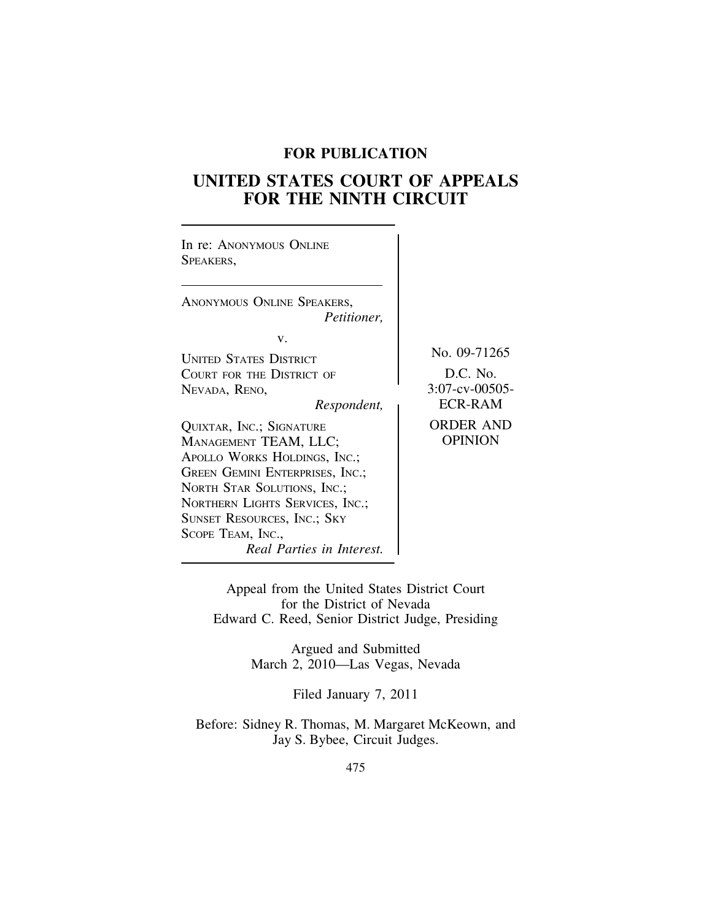# **FOR PUBLICATION**

# **UNITED STATES COURT OF APPEALS FOR THE NINTH CIRCUIT**

| In re: ANONYMOUS ONLINE<br>SPEAKERS,                                                                                                                                                                                                                                    |                                    |
|-------------------------------------------------------------------------------------------------------------------------------------------------------------------------------------------------------------------------------------------------------------------------|------------------------------------|
| ANONYMOUS ONLINE SPEAKERS,<br><i>Petitioner,</i>                                                                                                                                                                                                                        |                                    |
| v.                                                                                                                                                                                                                                                                      |                                    |
| <b>UNITED STATES DISTRICT</b>                                                                                                                                                                                                                                           | No. 09-71265                       |
| COURT FOR THE DISTRICT OF                                                                                                                                                                                                                                               | D.C. No.                           |
| NEVADA, RENO,                                                                                                                                                                                                                                                           | $3:07$ -cv-00505-                  |
| Respondent,                                                                                                                                                                                                                                                             | <b>ECR-RAM</b>                     |
| QUIXTAR, INC.; SIGNATURE<br>MANAGEMENT TEAM, LLC;<br>APOLLO WORKS HOLDINGS, INC.;<br>GREEN GEMINI ENTERPRISES, INC.;<br>NORTH STAR SOLUTIONS, INC.;<br>NORTHERN LIGHTS SERVICES, INC.;<br>SUNSET RESOURCES, INC.; SKY<br>SCOPE TEAM, INC.,<br>Real Parties in Interest. | <b>ORDER AND</b><br><b>OPINION</b> |

Appeal from the United States District Court for the District of Nevada Edward C. Reed, Senior District Judge, Presiding

> Argued and Submitted March 2, 2010—Las Vegas, Nevada

> > Filed January 7, 2011

Before: Sidney R. Thomas, M. Margaret McKeown, and Jay S. Bybee, Circuit Judges.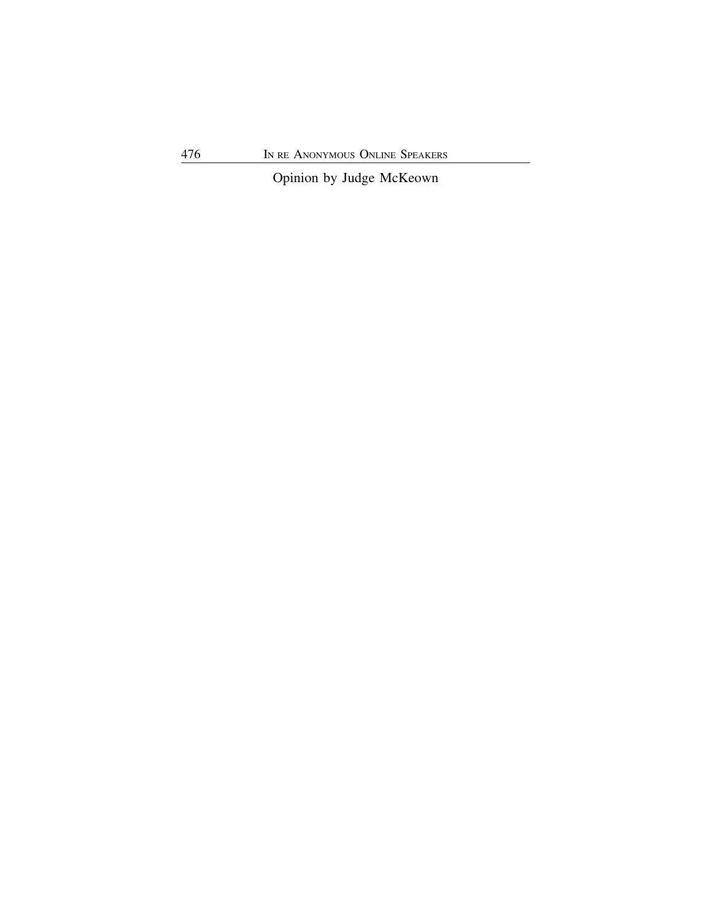Opinion by Judge McKeown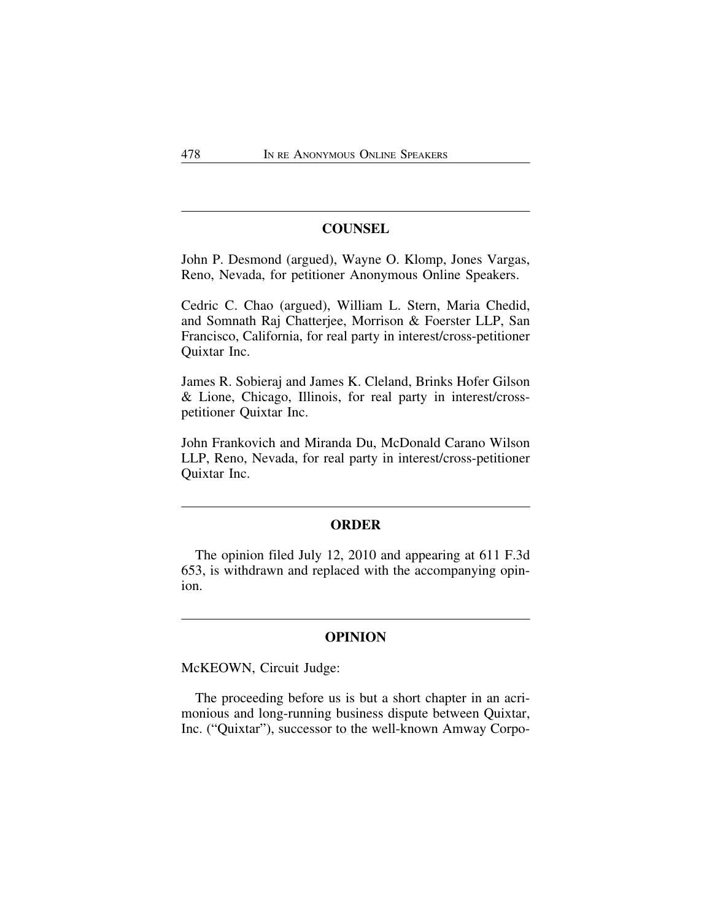# **COUNSEL**

John P. Desmond (argued), Wayne O. Klomp, Jones Vargas, Reno, Nevada, for petitioner Anonymous Online Speakers.

Cedric C. Chao (argued), William L. Stern, Maria Chedid, and Somnath Raj Chatterjee, Morrison & Foerster LLP, San Francisco, California, for real party in interest/cross-petitioner Quixtar Inc.

James R. Sobieraj and James K. Cleland, Brinks Hofer Gilson & Lione, Chicago, Illinois, for real party in interest/crosspetitioner Quixtar Inc.

John Frankovich and Miranda Du, McDonald Carano Wilson LLP, Reno, Nevada, for real party in interest/cross-petitioner Quixtar Inc.

# **ORDER**

The opinion filed July 12, 2010 and appearing at 611 F.3d 653, is withdrawn and replaced with the accompanying opinion.

# **OPINION**

McKEOWN, Circuit Judge:

The proceeding before us is but a short chapter in an acrimonious and long-running business dispute between Quixtar, Inc. ("Quixtar"), successor to the well-known Amway Corpo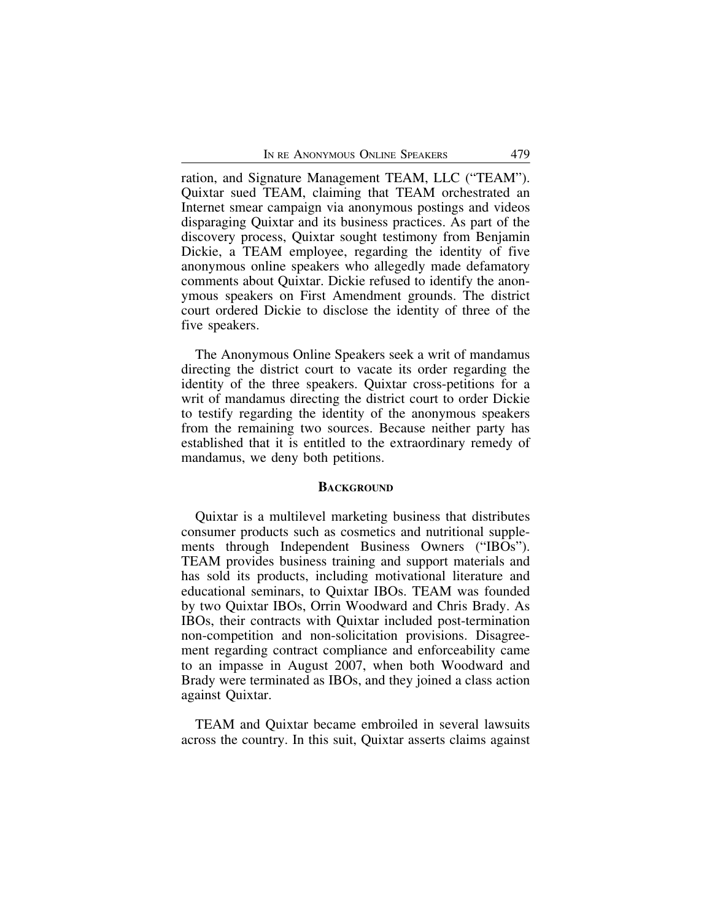ration, and Signature Management TEAM, LLC ("TEAM"). Quixtar sued TEAM, claiming that TEAM orchestrated an Internet smear campaign via anonymous postings and videos disparaging Quixtar and its business practices. As part of the discovery process, Quixtar sought testimony from Benjamin Dickie, a TEAM employee, regarding the identity of five anonymous online speakers who allegedly made defamatory comments about Quixtar. Dickie refused to identify the anonymous speakers on First Amendment grounds. The district court ordered Dickie to disclose the identity of three of the five speakers.

The Anonymous Online Speakers seek a writ of mandamus directing the district court to vacate its order regarding the identity of the three speakers. Quixtar cross-petitions for a writ of mandamus directing the district court to order Dickie to testify regarding the identity of the anonymous speakers from the remaining two sources. Because neither party has established that it is entitled to the extraordinary remedy of mandamus, we deny both petitions.

### **BACKGROUND**

Quixtar is a multilevel marketing business that distributes consumer products such as cosmetics and nutritional supplements through Independent Business Owners ("IBOs"). TEAM provides business training and support materials and has sold its products, including motivational literature and educational seminars, to Quixtar IBOs. TEAM was founded by two Quixtar IBOs, Orrin Woodward and Chris Brady. As IBOs, their contracts with Quixtar included post-termination non-competition and non-solicitation provisions. Disagreement regarding contract compliance and enforceability came to an impasse in August 2007, when both Woodward and Brady were terminated as IBOs, and they joined a class action against Quixtar.

TEAM and Quixtar became embroiled in several lawsuits across the country. In this suit, Quixtar asserts claims against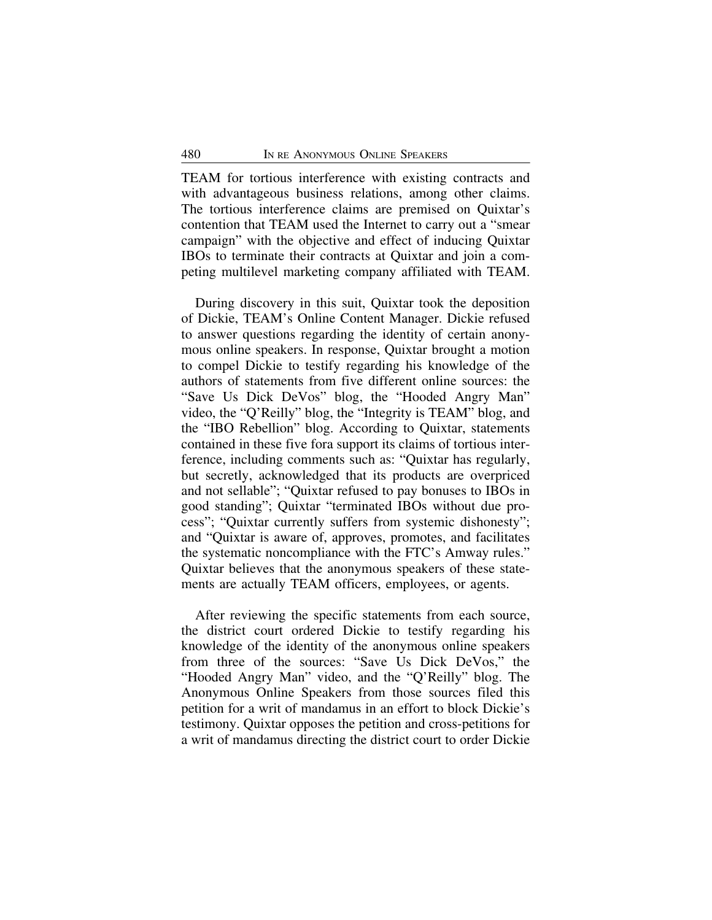TEAM for tortious interference with existing contracts and with advantageous business relations, among other claims. The tortious interference claims are premised on Quixtar's contention that TEAM used the Internet to carry out a "smear campaign" with the objective and effect of inducing Quixtar IBOs to terminate their contracts at Quixtar and join a competing multilevel marketing company affiliated with TEAM.

During discovery in this suit, Quixtar took the deposition of Dickie, TEAM's Online Content Manager. Dickie refused to answer questions regarding the identity of certain anonymous online speakers. In response, Quixtar brought a motion to compel Dickie to testify regarding his knowledge of the authors of statements from five different online sources: the "Save Us Dick DeVos" blog, the "Hooded Angry Man" video, the "Q'Reilly" blog, the "Integrity is TEAM" blog, and the "IBO Rebellion" blog. According to Quixtar, statements contained in these five fora support its claims of tortious interference, including comments such as: "Quixtar has regularly, but secretly, acknowledged that its products are overpriced and not sellable"; "Quixtar refused to pay bonuses to IBOs in good standing"; Quixtar "terminated IBOs without due process"; "Quixtar currently suffers from systemic dishonesty"; and "Quixtar is aware of, approves, promotes, and facilitates the systematic noncompliance with the FTC's Amway rules." Quixtar believes that the anonymous speakers of these statements are actually TEAM officers, employees, or agents.

After reviewing the specific statements from each source, the district court ordered Dickie to testify regarding his knowledge of the identity of the anonymous online speakers from three of the sources: "Save Us Dick DeVos," the "Hooded Angry Man" video, and the "Q'Reilly" blog. The Anonymous Online Speakers from those sources filed this petition for a writ of mandamus in an effort to block Dickie's testimony. Quixtar opposes the petition and cross-petitions for a writ of mandamus directing the district court to order Dickie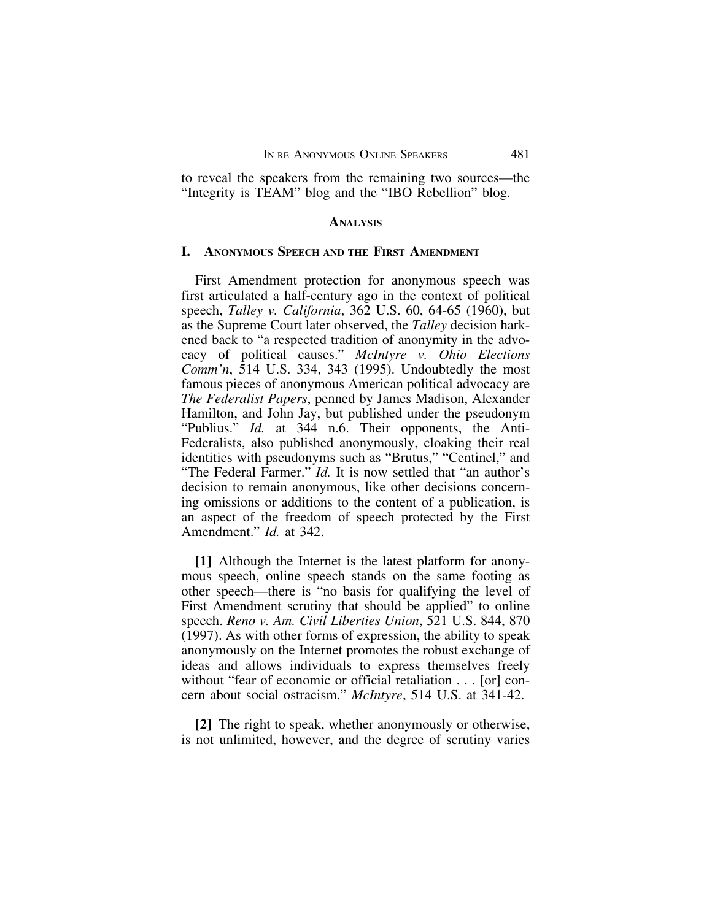to reveal the speakers from the remaining two sources—the "Integrity is TEAM" blog and the "IBO Rebellion" blog.

#### **ANALYSIS**

#### **I. ANONYMOUS SPEECH AND THE FIRST AMENDMENT**

First Amendment protection for anonymous speech was first articulated a half-century ago in the context of political speech, *Talley v. California*, 362 U.S. 60, 64-65 (1960), but as the Supreme Court later observed, the *Talley* decision harkened back to "a respected tradition of anonymity in the advocacy of political causes." *McIntyre v. Ohio Elections Comm'n*, 514 U.S. 334, 343 (1995). Undoubtedly the most famous pieces of anonymous American political advocacy are *The Federalist Papers*, penned by James Madison, Alexander Hamilton, and John Jay, but published under the pseudonym "Publius." *Id.* at 344 n.6. Their opponents, the Anti-Federalists, also published anonymously, cloaking their real identities with pseudonyms such as "Brutus," "Centinel," and "The Federal Farmer." *Id.* It is now settled that "an author's decision to remain anonymous, like other decisions concerning omissions or additions to the content of a publication, is an aspect of the freedom of speech protected by the First Amendment." *Id.* at 342.

**[1]** Although the Internet is the latest platform for anonymous speech, online speech stands on the same footing as other speech—there is "no basis for qualifying the level of First Amendment scrutiny that should be applied" to online speech. *Reno v. Am. Civil Liberties Union*, 521 U.S. 844, 870 (1997). As with other forms of expression, the ability to speak anonymously on the Internet promotes the robust exchange of ideas and allows individuals to express themselves freely without "fear of economic or official retaliation . . . [or] concern about social ostracism." *McIntyre*, 514 U.S. at 341-42.

**[2]** The right to speak, whether anonymously or otherwise, is not unlimited, however, and the degree of scrutiny varies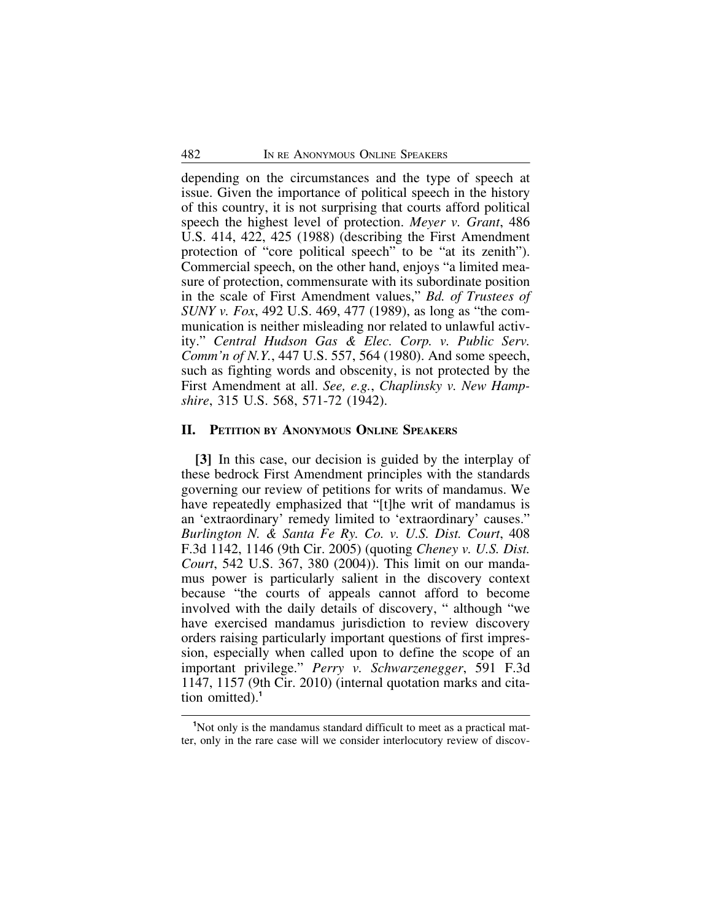depending on the circumstances and the type of speech at issue. Given the importance of political speech in the history of this country, it is not surprising that courts afford political speech the highest level of protection. *Meyer v. Grant*, 486 U.S. 414, 422, 425 (1988) (describing the First Amendment protection of "core political speech" to be "at its zenith"). Commercial speech, on the other hand, enjoys "a limited measure of protection, commensurate with its subordinate position in the scale of First Amendment values," *Bd. of Trustees of SUNY v. Fox*, 492 U.S. 469, 477 (1989), as long as "the communication is neither misleading nor related to unlawful activity." *Central Hudson Gas & Elec. Corp. v. Public Serv. Comm'n of N.Y.*, 447 U.S. 557, 564 (1980). And some speech, such as fighting words and obscenity, is not protected by the First Amendment at all. *See, e.g.*, *Chaplinsky v. New Hampshire*, 315 U.S. 568, 571-72 (1942).

#### **II. PETITION BY ANONYMOUS ONLINE SPEAKERS**

**[3]** In this case, our decision is guided by the interplay of these bedrock First Amendment principles with the standards governing our review of petitions for writs of mandamus. We have repeatedly emphasized that "[t]he writ of mandamus is an 'extraordinary' remedy limited to 'extraordinary' causes." *Burlington N. & Santa Fe Ry. Co. v. U.S. Dist. Court*, 408 F.3d 1142, 1146 (9th Cir. 2005) (quoting *Cheney v. U.S. Dist. Court*, 542 U.S. 367, 380 (2004)). This limit on our mandamus power is particularly salient in the discovery context because "the courts of appeals cannot afford to become involved with the daily details of discovery, " although "we have exercised mandamus jurisdiction to review discovery orders raising particularly important questions of first impression, especially when called upon to define the scope of an important privilege." *Perry v. Schwarzenegger*, 591 F.3d 1147, 1157 (9th Cir. 2010) (internal quotation marks and citation omitted).**<sup>1</sup>**

<sup>&</sup>lt;sup>1</sup>Not only is the mandamus standard difficult to meet as a practical matter, only in the rare case will we consider interlocutory review of discov-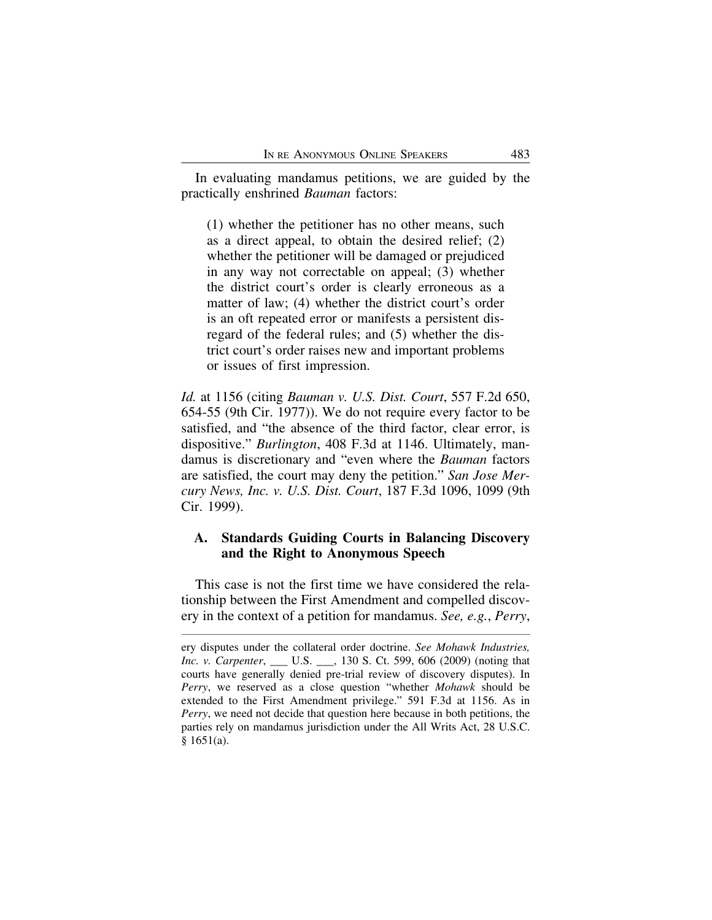In evaluating mandamus petitions, we are guided by the practically enshrined *Bauman* factors:

(1) whether the petitioner has no other means, such as a direct appeal, to obtain the desired relief; (2) whether the petitioner will be damaged or prejudiced in any way not correctable on appeal; (3) whether the district court's order is clearly erroneous as a matter of law; (4) whether the district court's order is an oft repeated error or manifests a persistent disregard of the federal rules; and (5) whether the district court's order raises new and important problems or issues of first impression.

*Id.* at 1156 (citing *Bauman v. U.S. Dist. Court*, 557 F.2d 650, 654-55 (9th Cir. 1977)). We do not require every factor to be satisfied, and "the absence of the third factor, clear error, is dispositive." *Burlington*, 408 F.3d at 1146. Ultimately, mandamus is discretionary and "even where the *Bauman* factors are satisfied, the court may deny the petition." *San Jose Mercury News, Inc. v. U.S. Dist. Court*, 187 F.3d 1096, 1099 (9th Cir. 1999).

# **A. Standards Guiding Courts in Balancing Discovery and the Right to Anonymous Speech**

This case is not the first time we have considered the relationship between the First Amendment and compelled discovery in the context of a petition for mandamus. *See, e.g.*, *Perry*,

ery disputes under the collateral order doctrine. *See Mohawk Industries, Inc. v. Carpenter*, \_\_\_ U.S. \_\_\_, 130 S. Ct. 599, 606 (2009) (noting that courts have generally denied pre-trial review of discovery disputes). In *Perry*, we reserved as a close question "whether *Mohawk* should be extended to the First Amendment privilege." 591 F.3d at 1156. As in *Perry*, we need not decide that question here because in both petitions, the parties rely on mandamus jurisdiction under the All Writs Act, 28 U.S.C. § 1651(a).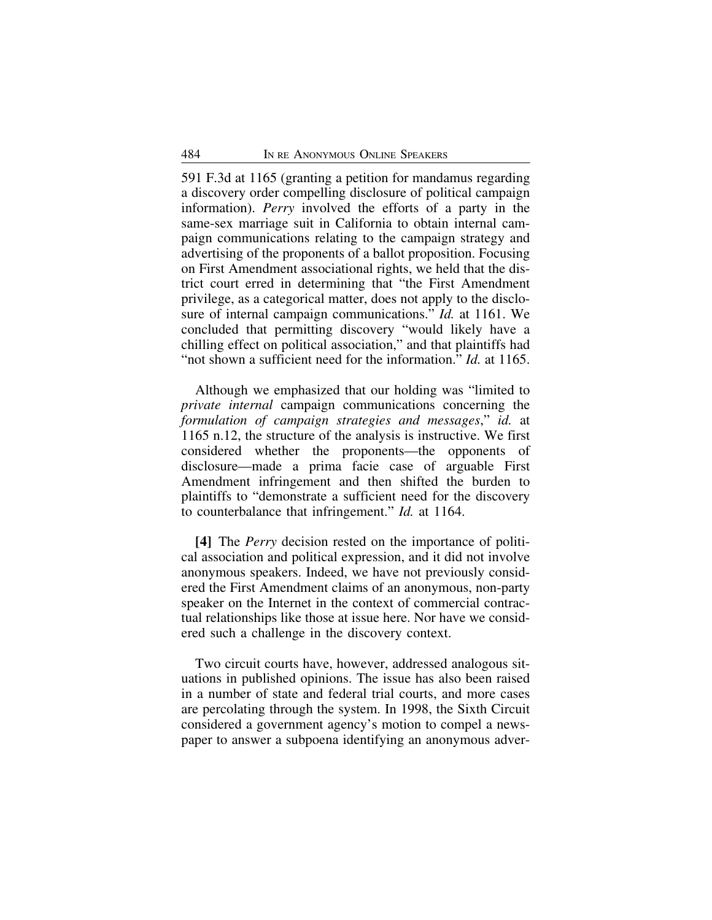591 F.3d at 1165 (granting a petition for mandamus regarding a discovery order compelling disclosure of political campaign information). *Perry* involved the efforts of a party in the same-sex marriage suit in California to obtain internal campaign communications relating to the campaign strategy and advertising of the proponents of a ballot proposition. Focusing on First Amendment associational rights, we held that the district court erred in determining that "the First Amendment privilege, as a categorical matter, does not apply to the disclosure of internal campaign communications." *Id.* at 1161. We concluded that permitting discovery "would likely have a chilling effect on political association," and that plaintiffs had "not shown a sufficient need for the information." *Id.* at 1165.

Although we emphasized that our holding was "limited to *private internal* campaign communications concerning the *formulation of campaign strategies and messages*," *id.* at 1165 n.12, the structure of the analysis is instructive. We first considered whether the proponents—the opponents of disclosure—made a prima facie case of arguable First Amendment infringement and then shifted the burden to plaintiffs to "demonstrate a sufficient need for the discovery to counterbalance that infringement." *Id.* at 1164.

**[4]** The *Perry* decision rested on the importance of political association and political expression, and it did not involve anonymous speakers. Indeed, we have not previously considered the First Amendment claims of an anonymous, non-party speaker on the Internet in the context of commercial contractual relationships like those at issue here. Nor have we considered such a challenge in the discovery context.

Two circuit courts have, however, addressed analogous situations in published opinions. The issue has also been raised in a number of state and federal trial courts, and more cases are percolating through the system. In 1998, the Sixth Circuit considered a government agency's motion to compel a newspaper to answer a subpoena identifying an anonymous adver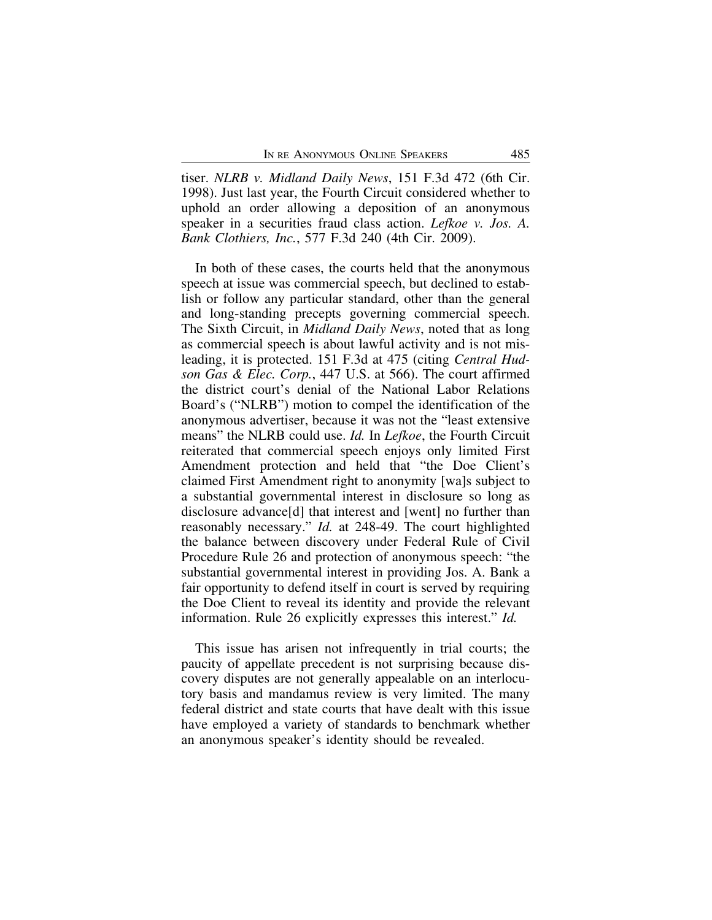tiser. *NLRB v. Midland Daily News*, 151 F.3d 472 (6th Cir. 1998). Just last year, the Fourth Circuit considered whether to uphold an order allowing a deposition of an anonymous speaker in a securities fraud class action. *Lefkoe v. Jos. A. Bank Clothiers, Inc.*, 577 F.3d 240 (4th Cir. 2009).

In both of these cases, the courts held that the anonymous speech at issue was commercial speech, but declined to establish or follow any particular standard, other than the general and long-standing precepts governing commercial speech. The Sixth Circuit, in *Midland Daily News*, noted that as long as commercial speech is about lawful activity and is not misleading, it is protected. 151 F.3d at 475 (citing *Central Hudson Gas & Elec. Corp.*, 447 U.S. at 566). The court affirmed the district court's denial of the National Labor Relations Board's ("NLRB") motion to compel the identification of the anonymous advertiser, because it was not the "least extensive means" the NLRB could use. *Id.* In *Lefkoe*, the Fourth Circuit reiterated that commercial speech enjoys only limited First Amendment protection and held that "the Doe Client's claimed First Amendment right to anonymity [wa]s subject to a substantial governmental interest in disclosure so long as disclosure advance[d] that interest and [went] no further than reasonably necessary." *Id.* at 248-49. The court highlighted the balance between discovery under Federal Rule of Civil Procedure Rule 26 and protection of anonymous speech: "the substantial governmental interest in providing Jos. A. Bank a fair opportunity to defend itself in court is served by requiring the Doe Client to reveal its identity and provide the relevant information. Rule 26 explicitly expresses this interest." *Id.*

This issue has arisen not infrequently in trial courts; the paucity of appellate precedent is not surprising because discovery disputes are not generally appealable on an interlocutory basis and mandamus review is very limited. The many federal district and state courts that have dealt with this issue have employed a variety of standards to benchmark whether an anonymous speaker's identity should be revealed.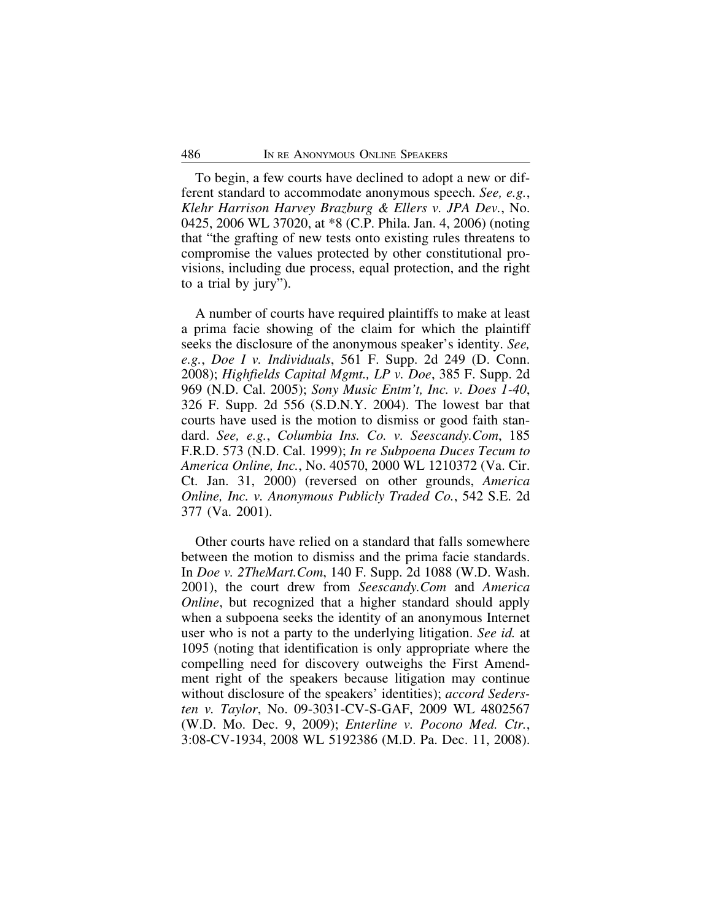To begin, a few courts have declined to adopt a new or different standard to accommodate anonymous speech. *See, e.g.*, *Klehr Harrison Harvey Brazburg & Ellers v. JPA Dev.*, No. 0425, 2006 WL 37020, at \*8 (C.P. Phila. Jan. 4, 2006) (noting that "the grafting of new tests onto existing rules threatens to compromise the values protected by other constitutional provisions, including due process, equal protection, and the right to a trial by jury").

A number of courts have required plaintiffs to make at least a prima facie showing of the claim for which the plaintiff seeks the disclosure of the anonymous speaker's identity. *See, e.g.*, *Doe I v. Individuals*, 561 F. Supp. 2d 249 (D. Conn. 2008); *Highfields Capital Mgmt., LP v. Doe*, 385 F. Supp. 2d 969 (N.D. Cal. 2005); *Sony Music Entm't, Inc. v. Does 1-40*, 326 F. Supp. 2d 556 (S.D.N.Y. 2004). The lowest bar that courts have used is the motion to dismiss or good faith standard. *See, e.g.*, *Columbia Ins. Co. v. Seescandy.Com*, 185 F.R.D. 573 (N.D. Cal. 1999); *In re Subpoena Duces Tecum to America Online, Inc.*, No. 40570, 2000 WL 1210372 (Va. Cir. Ct. Jan. 31, 2000) (reversed on other grounds, *America Online, Inc. v. Anonymous Publicly Traded Co.*, 542 S.E. 2d 377 (Va. 2001).

Other courts have relied on a standard that falls somewhere between the motion to dismiss and the prima facie standards. In *Doe v. 2TheMart.Com*, 140 F. Supp. 2d 1088 (W.D. Wash. 2001), the court drew from *Seescandy.Com* and *America Online*, but recognized that a higher standard should apply when a subpoena seeks the identity of an anonymous Internet user who is not a party to the underlying litigation. *See id.* at 1095 (noting that identification is only appropriate where the compelling need for discovery outweighs the First Amendment right of the speakers because litigation may continue without disclosure of the speakers' identities); *accord Sedersten v. Taylor*, No. 09-3031-CV-S-GAF, 2009 WL 4802567 (W.D. Mo. Dec. 9, 2009); *Enterline v. Pocono Med. Ctr.*, 3:08-CV-1934, 2008 WL 5192386 (M.D. Pa. Dec. 11, 2008).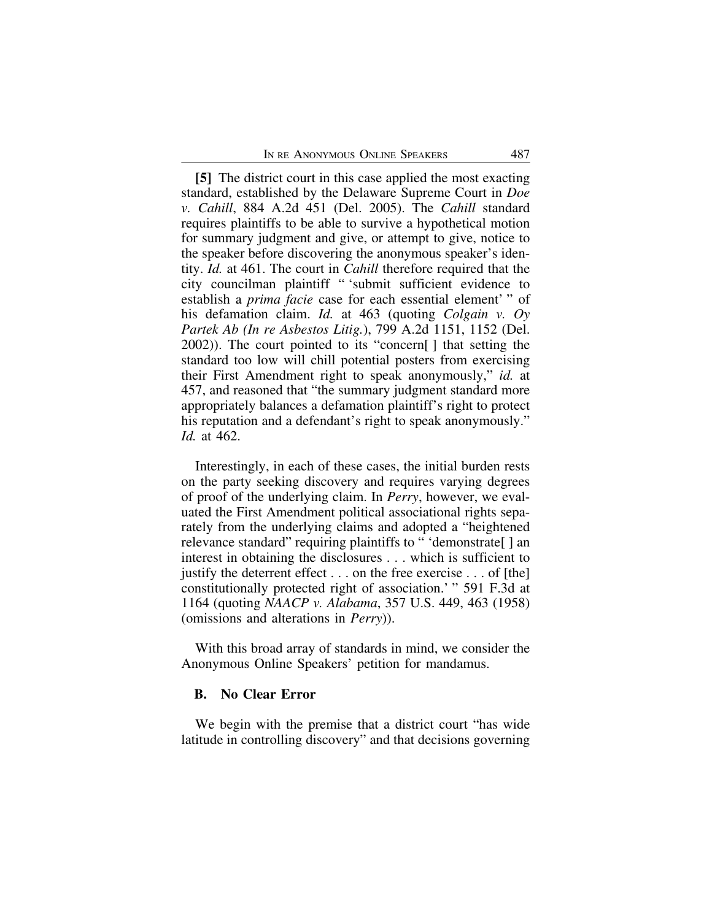**[5]** The district court in this case applied the most exacting standard, established by the Delaware Supreme Court in *Doe v. Cahill*, 884 A.2d 451 (Del. 2005). The *Cahill* standard requires plaintiffs to be able to survive a hypothetical motion for summary judgment and give, or attempt to give, notice to the speaker before discovering the anonymous speaker's identity. *Id.* at 461. The court in *Cahill* therefore required that the city councilman plaintiff " 'submit sufficient evidence to establish a *prima facie* case for each essential element' " of his defamation claim. *Id.* at 463 (quoting *Colgain v. Oy Partek Ab (In re Asbestos Litig.*), 799 A.2d 1151, 1152 (Del. 2002)). The court pointed to its "concern[ ] that setting the standard too low will chill potential posters from exercising their First Amendment right to speak anonymously," *id.* at 457, and reasoned that "the summary judgment standard more appropriately balances a defamation plaintiff's right to protect his reputation and a defendant's right to speak anonymously." *Id.* at 462.

Interestingly, in each of these cases, the initial burden rests on the party seeking discovery and requires varying degrees of proof of the underlying claim. In *Perry*, however, we evaluated the First Amendment political associational rights separately from the underlying claims and adopted a "heightened relevance standard" requiring plaintiffs to " 'demonstrate[ ] an interest in obtaining the disclosures . . . which is sufficient to justify the deterrent effect . . . on the free exercise . . . of [the] constitutionally protected right of association.' " 591 F.3d at 1164 (quoting *NAACP v. Alabama*, 357 U.S. 449, 463 (1958) (omissions and alterations in *Perry*)).

With this broad array of standards in mind, we consider the Anonymous Online Speakers' petition for mandamus.

## **B. No Clear Error**

We begin with the premise that a district court "has wide latitude in controlling discovery" and that decisions governing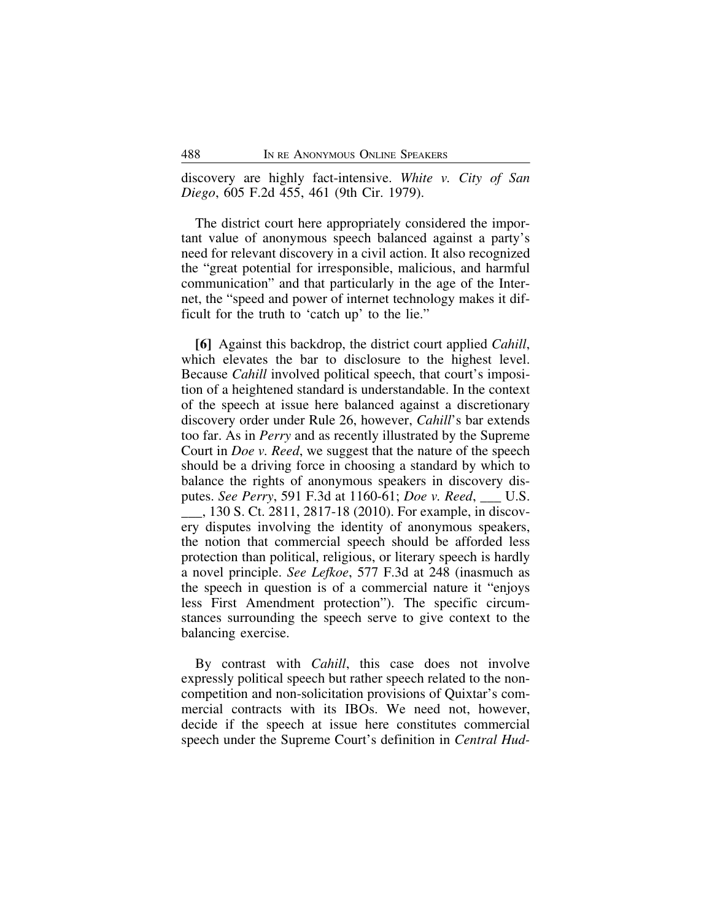discovery are highly fact-intensive. *White v. City of San Diego*, 605 F.2d 455, 461 (9th Cir. 1979).

The district court here appropriately considered the important value of anonymous speech balanced against a party's need for relevant discovery in a civil action. It also recognized the "great potential for irresponsible, malicious, and harmful communication" and that particularly in the age of the Internet, the "speed and power of internet technology makes it difficult for the truth to 'catch up' to the lie."

**[6]** Against this backdrop, the district court applied *Cahill*, which elevates the bar to disclosure to the highest level. Because *Cahill* involved political speech, that court's imposition of a heightened standard is understandable. In the context of the speech at issue here balanced against a discretionary discovery order under Rule 26, however, *Cahill*'s bar extends too far. As in *Perry* and as recently illustrated by the Supreme Court in *Doe v. Reed*, we suggest that the nature of the speech should be a driving force in choosing a standard by which to balance the rights of anonymous speakers in discovery disputes. *See Perry*, 591 F.3d at 1160-61; *Doe v. Reed*, \_\_\_ U.S. \_\_\_, 130 S. Ct. 2811, 2817-18 (2010). For example, in discovery disputes involving the identity of anonymous speakers, the notion that commercial speech should be afforded less protection than political, religious, or literary speech is hardly a novel principle. *See Lefkoe*, 577 F.3d at 248 (inasmuch as the speech in question is of a commercial nature it "enjoys less First Amendment protection"). The specific circumstances surrounding the speech serve to give context to the balancing exercise.

By contrast with *Cahill*, this case does not involve expressly political speech but rather speech related to the noncompetition and non-solicitation provisions of Quixtar's commercial contracts with its IBOs. We need not, however, decide if the speech at issue here constitutes commercial speech under the Supreme Court's definition in *Central Hud-*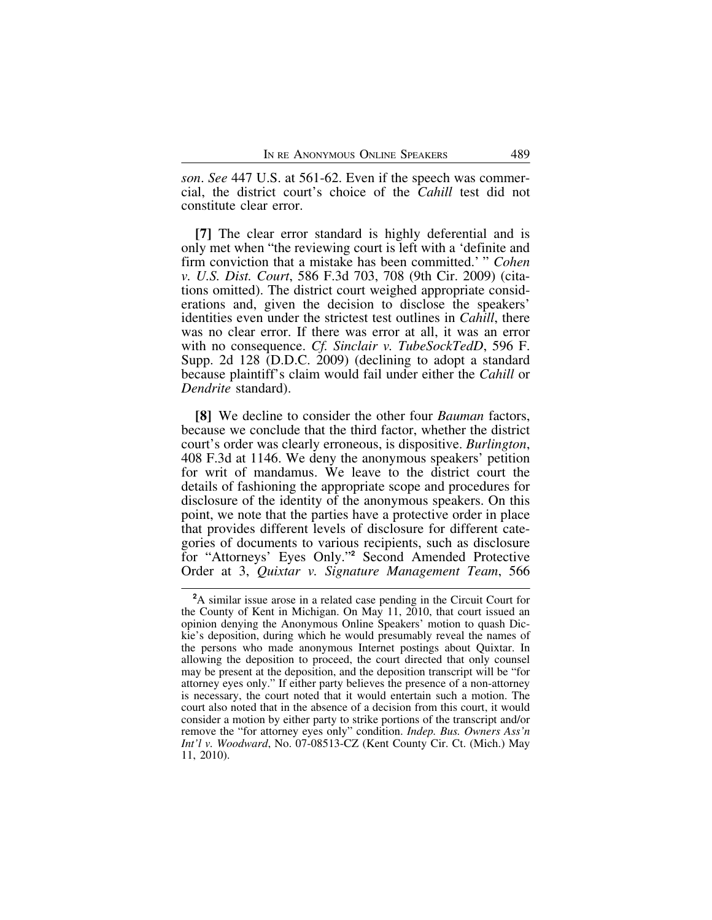*son*. *See* 447 U.S. at 561-62. Even if the speech was commercial, the district court's choice of the *Cahill* test did not constitute clear error.

**[7]** The clear error standard is highly deferential and is only met when "the reviewing court is left with a 'definite and firm conviction that a mistake has been committed.' " *Cohen v. U.S. Dist. Court*, 586 F.3d 703, 708 (9th Cir. 2009) (citations omitted). The district court weighed appropriate considerations and, given the decision to disclose the speakers' identities even under the strictest test outlines in *Cahill*, there was no clear error. If there was error at all, it was an error with no consequence. *Cf. Sinclair v. TubeSockTedD*, 596 F. Supp. 2d 128 (D.D.C. 2009) (declining to adopt a standard because plaintiff's claim would fail under either the *Cahill* or *Dendrite* standard).

**[8]** We decline to consider the other four *Bauman* factors, because we conclude that the third factor, whether the district court's order was clearly erroneous, is dispositive. *Burlington*, 408 F.3d at 1146. We deny the anonymous speakers' petition for writ of mandamus. We leave to the district court the details of fashioning the appropriate scope and procedures for disclosure of the identity of the anonymous speakers. On this point, we note that the parties have a protective order in place that provides different levels of disclosure for different categories of documents to various recipients, such as disclosure for "Attorneys' Eyes Only."**<sup>2</sup>** Second Amended Protective Order at 3, *Quixtar v. Signature Management Team*, 566

**<sup>2</sup>**A similar issue arose in a related case pending in the Circuit Court for the County of Kent in Michigan. On May 11, 2010, that court issued an opinion denying the Anonymous Online Speakers' motion to quash Dickie's deposition, during which he would presumably reveal the names of the persons who made anonymous Internet postings about Quixtar. In allowing the deposition to proceed, the court directed that only counsel may be present at the deposition, and the deposition transcript will be "for attorney eyes only." If either party believes the presence of a non-attorney is necessary, the court noted that it would entertain such a motion. The court also noted that in the absence of a decision from this court, it would consider a motion by either party to strike portions of the transcript and/or remove the "for attorney eyes only" condition. *Indep. Bus. Owners Ass'n Int'l v. Woodward*, No. 07-08513-CZ (Kent County Cir. Ct. (Mich.) May 11, 2010).